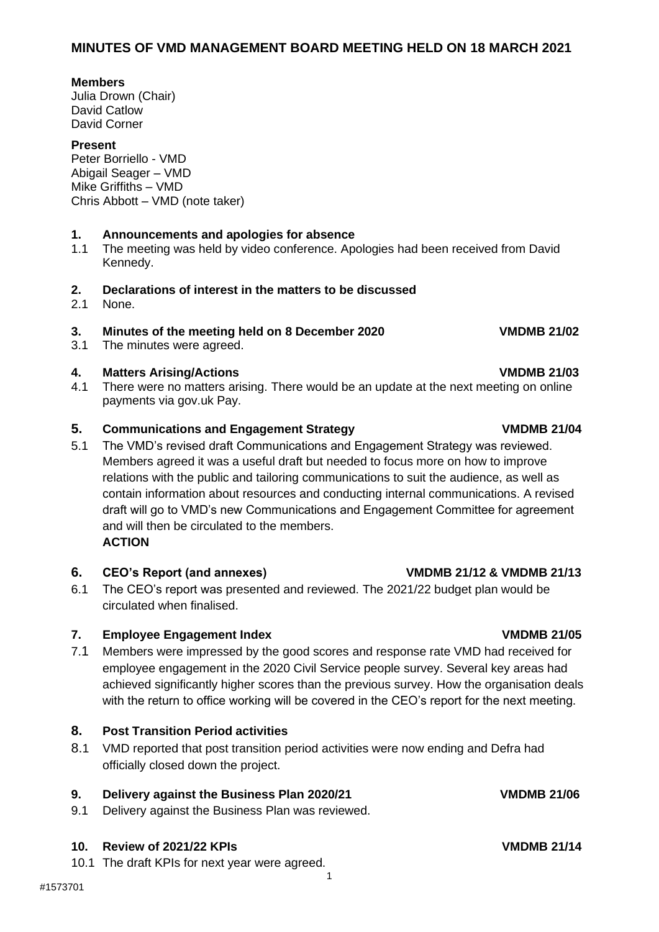### **Members**

Julia Drown (Chair) David Catlow David Corner

### **Present**

Peter Borriello - VMD Abigail Seager – VMD Mike Griffiths – VMD Chris Abbott – VMD (note taker)

### **1. Announcements and apologies for absence**

1.1 The meeting was held by video conference. Apologies had been received from David Kennedy.

### **2. Declarations of interest in the matters to be discussed**

2.1 None.

## **3. Minutes of the meeting held on 8 December 2020 VMDMB 21/02**

3.1 The minutes were agreed.

### **4. Matters Arising/Actions VMDMB 21/03**

4.1 There were no matters arising. There would be an update at the next meeting on online payments via gov.uk Pay.

### **5. Communications and Engagement Strategy VMDMB 21/04**

5.1 The VMD's revised draft Communications and Engagement Strategy was reviewed. Members agreed it was a useful draft but needed to focus more on how to improve relations with the public and tailoring communications to suit the audience, as well as contain information about resources and conducting internal communications. A revised draft will go to VMD's new Communications and Engagement Committee for agreement and will then be circulated to the members. **ACTION**

### **6. CEO's Report (and annexes) VMDMB 21/12 & VMDMB 21/13**

6.1 The CEO's report was presented and reviewed. The 2021/22 budget plan would be circulated when finalised.

### **7. Employee Engagement Index CONDUGE 21/05**

7.1 Members were impressed by the good scores and response rate VMD had received for employee engagement in the 2020 Civil Service people survey. Several key areas had achieved significantly higher scores than the previous survey. How the organisation deals with the return to office working will be covered in the CEO's report for the next meeting.

1

### **8. Post Transition Period activities**

8.1 VMD reported that post transition period activities were now ending and Defra had officially closed down the project.

# **9. Delivery against the Business Plan 2020/21 VMDMB 21/06**

9.1 Delivery against the Business Plan was reviewed.

### **10. Review of 2021/22 KPIs VMDMB 21/14**

10.1 The draft KPIs for next year were agreed.